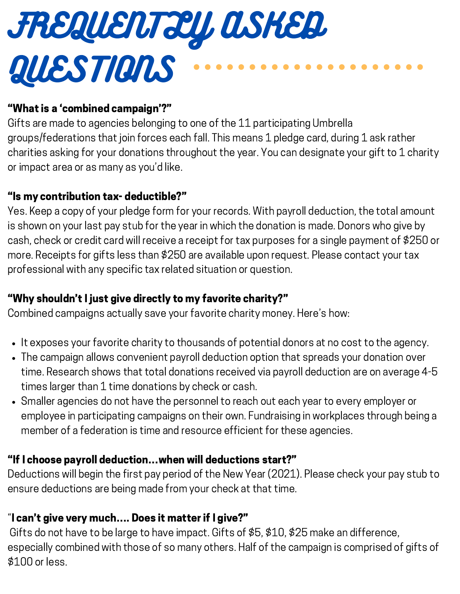

#### "What is a 'combined campaign'?"

Gifts are made to agencies belonging to one of the 11 participating Umbrella groups/federations that join forces each fall. This means 1 pledge card, during 1 ask rather charities asking for your donations throughout the year. You can designate your gift to 1 charity or impact area or as many as you'd like.

#### "Is my contribution tax- deductible?"

Yes. Keep a copy of your pledge form for your records. With payroll deduction, the total amount is shown on your last pay stub for the year in which the donation is made. Donors who give by cash, check or credit card will receive a receipt for tax purposes for a single payment of \$250 or more. Receipts for gifts less than \$250 are available upon request. Please contact your tax professional with any specific tax related situation or question.

# "Why shouldn't I just give directly to my favorite charity?"

Combined campaigns actually save your favorite charity money. Here's how:

- It exposes your favorite charity to thousands of potential donors at no cost to the agency.
- The campaign allows convenient payroll deduction option that spreads your donation over time. Research shows that total donations received via payroll deduction are on average 4-5 times larger than 1 time donations by check or cash.
- Smaller agencies do not have the personnel to reach out each year to every employer or employee in participating campaigns on their own. Fundraising in workplaces through being a member of a federation is time and resource efficient for these agencies.

# "If I choose payroll deduction…when will deductions start?"

Deductions will begin the first pay period of the New Year (2021). Please check your pay stub to ensure deductions are being made from your check at that time.

# "I can't give very much…. Does it matter if I give?"

Gifts do not have to be large to have impact. Gifts of \$5, \$10, \$25 make an difference, especially combined with those of so many others. Half of the campaign is comprised of gifts of \$100 or less.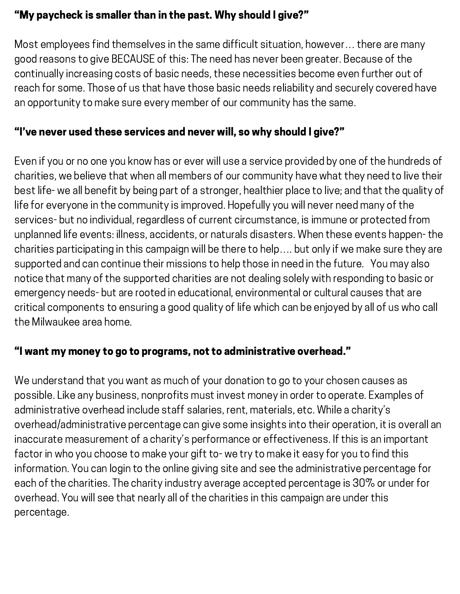### "My paycheck is smaller than in the past. Why should I give?"

Most employees find themselves in the same difficult situation, however… there are many good reasons to give BECAUSE of this: The need has never been greater. Because of the continually increasing costs of basic needs, these necessities become even further out of reach for some. Those of us that have those basic needs reliability and securely covered have an opportunity to make sure every member of our community has the same.

### "I've never used these services and never will, so why should I give?"

Even if you or no one you know has or ever will use a service provided by one of the hundreds of charities, we believe that when all members of our community have what they need to live their best life- we all benefit by being part of a stronger, healthier place to live; and that the quality of life for everyone in the community is improved. Hopefully you will never need many of the services- but no individual, regardless of current circumstance, is immune or protected from unplanned life events: illness, accidents, or naturals disasters. When these events happen- the charities participating in this campaign will be there to help…. but only if we make sure they are supported and can continue their missions to help those in need in the future. You may also notice that many of the supported charities are not dealing solely with responding to basic or emergency needs- but are rooted in educational, environmental or cultural causes that are critical components to ensuring a good quality of life which can be enjoyed by all of us who call the Milwaukee area home.

#### "I want my money to go to programs, not to administrative overhead."

We understand that you want as much of your donation to go to your chosen causes as possible. Like any business, nonprofits must invest money in order to operate. Examples of administrative overhead include staff salaries, rent, materials, etc. While a charity's overhead/administrative percentage can give some insights into their operation, it is overall an inaccurate measurement of a charity's performance or effectiveness. If this is an important factor in who you choose to make your gift to- we try to make it easy for you to find this information. You can login to the online giving site and see the administrative percentage for each of the charities. The charity industry average accepted percentage is 30% or under for overhead. You will see that nearly all of the charities in this campaign are under this percentage.